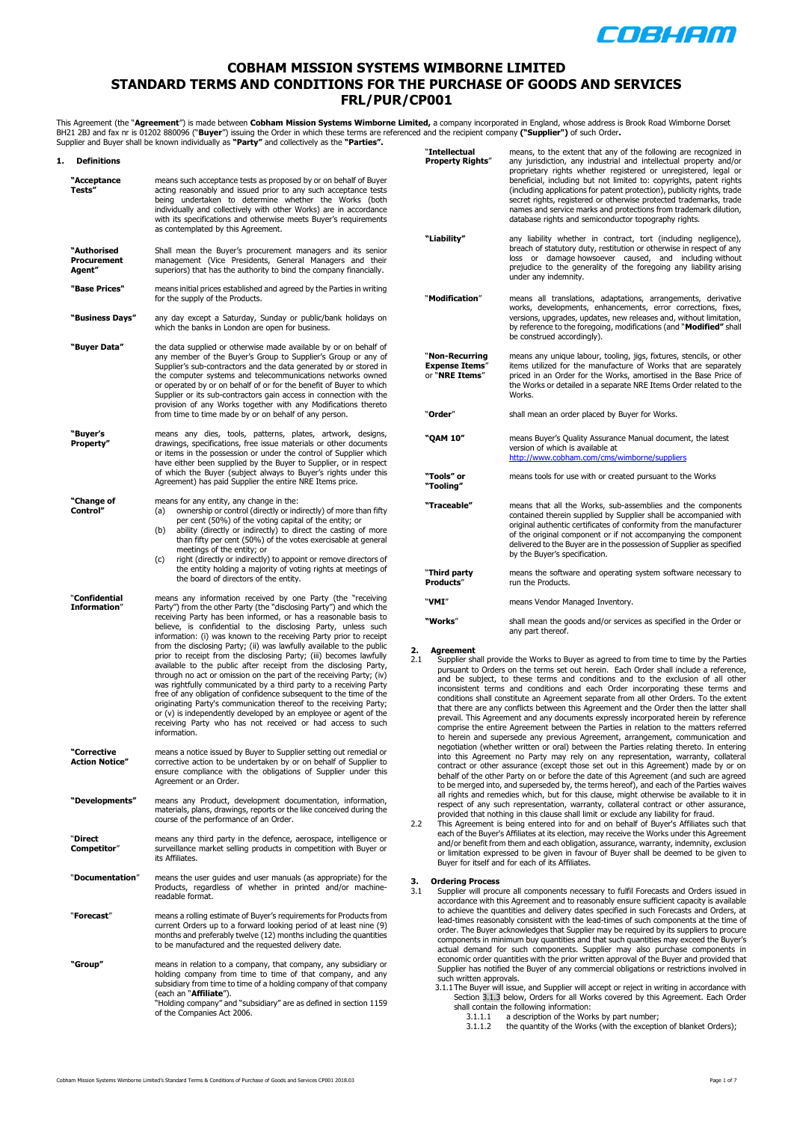

## **COBHAM MISSION SYSTEMS WIMBORNE LIMITED STANDARD TERMS AND CONDITIONS FOR THE PURCHASE OF GOODS AND SERVICES FRL/PUR/CP001**

This Agreement (the "**Agreement**") is made between **Cobham Mission Systems Wimborne Limited,** a company incorporated in England, whose address is Brook Road Wimborne Dorset BH21 2BJ and fax nr is 01202 880096 ("**Buyer**") issuing the Order in which these terms are referenced and the recipient company **("Supplier")** of such Order<br>Supplier and Buyer shall be known individually as **"Party"** and c

| 1. | <b>Definitions</b>                   |                                                                                                                                                                                                                                                                                                                                                                                                                                                                                                                                                                                                                                                                                                                                                                                                                                                                                                                                                                                                         |
|----|--------------------------------------|---------------------------------------------------------------------------------------------------------------------------------------------------------------------------------------------------------------------------------------------------------------------------------------------------------------------------------------------------------------------------------------------------------------------------------------------------------------------------------------------------------------------------------------------------------------------------------------------------------------------------------------------------------------------------------------------------------------------------------------------------------------------------------------------------------------------------------------------------------------------------------------------------------------------------------------------------------------------------------------------------------|
|    | "Acceptance<br>Tests"                | means such acceptance tests as proposed by or on behalf of Buyer<br>acting reasonably and issued prior to any such acceptance tests<br>being undertaken to determine whether the Works (both<br>individually and collectively with other Works) are in accordance<br>with its specifications and otherwise meets Buyer's requirements<br>as contemplated by this Agreement.                                                                                                                                                                                                                                                                                                                                                                                                                                                                                                                                                                                                                             |
|    | "Authorised<br>Procurement<br>Agent" | Shall mean the Buyer's procurement managers and its senior<br>management (Vice Presidents, General Managers and their<br>superiors) that has the authority to bind the company financially.                                                                                                                                                                                                                                                                                                                                                                                                                                                                                                                                                                                                                                                                                                                                                                                                             |
|    | "Base Prices"                        | means initial prices established and agreed by the Parties in writing<br>for the supply of the Products.                                                                                                                                                                                                                                                                                                                                                                                                                                                                                                                                                                                                                                                                                                                                                                                                                                                                                                |
|    | "Business Days"                      | any day except a Saturday, Sunday or public/bank holidays on<br>which the banks in London are open for business.                                                                                                                                                                                                                                                                                                                                                                                                                                                                                                                                                                                                                                                                                                                                                                                                                                                                                        |
|    | "Buyer Data"                         | the data supplied or otherwise made available by or on behalf of<br>any member of the Buyer's Group to Supplier's Group or any of<br>Supplier's sub-contractors and the data generated by or stored in<br>the computer systems and telecommunications networks owned<br>or operated by or on behalf of or for the benefit of Buyer to which<br>Supplier or its sub-contractors gain access in connection with the<br>provision of any Works together with any Modifications thereto<br>from time to time made by or on behalf of any person.                                                                                                                                                                                                                                                                                                                                                                                                                                                            |
|    | "Buyer's<br>Property"                | means any dies, tools, patterns, plates, artwork, designs,<br>drawings, specifications, free issue materials or other documents<br>or items in the possession or under the control of Supplier which<br>have either been supplied by the Buyer to Supplier, or in respect<br>of which the Buyer (subject always to Buyer's rights under this<br>Agreement) has paid Supplier the entire NRE Items price.                                                                                                                                                                                                                                                                                                                                                                                                                                                                                                                                                                                                |
|    | "Change of<br>Control"               | means for any entity, any change in the:<br>ownership or control (directly or indirectly) of more than fifty<br>(a)<br>per cent (50%) of the voting capital of the entity; or<br>ability (directly or indirectly) to direct the casting of more<br>(b)<br>than fifty per cent (50%) of the votes exercisable at general<br>meetings of the entity; or<br>right (directly or indirectly) to appoint or remove directors of<br>(c)<br>the entity holding a majority of voting rights at meetings of<br>the board of directors of the entity.                                                                                                                                                                                                                                                                                                                                                                                                                                                              |
|    | "Confidential<br><b>Information"</b> | means any information received by one Party (the "receiving<br>Party") from the other Party (the "disclosing Party") and which the<br>receiving Party has been informed, or has a reasonable basis to<br>believe, is confidential to the disclosing Party, unless such<br>information: (i) was known to the receiving Party prior to receipt<br>from the disclosing Party; (ii) was lawfully available to the public<br>prior to receipt from the disclosing Party; (iii) becomes lawfully<br>available to the public after receipt from the disclosing Party,<br>through no act or omission on the part of the receiving Party; (iv)<br>was rightfully communicated by a third party to a receiving Party<br>free of any obligation of confidence subsequent to the time of the<br>originating Party's communication thereof to the receiving Party;<br>or (v) is independently developed by an employee or agent of the<br>receiving Party who has not received or had access to such<br>information. |
|    | "Corrective<br><b>Action Notice"</b> | means a notice issued by Buyer to Supplier setting out remedial or<br>corrective action to be undertaken by or on behalf of Supplier to<br>ensure compliance with the obligations of Supplier under this<br>Agreement or an Order.                                                                                                                                                                                                                                                                                                                                                                                                                                                                                                                                                                                                                                                                                                                                                                      |
|    | "Developments"                       | means any Product, development documentation, information,<br>materials, plans, drawings, reports or the like conceived during the<br>course of the performance of an Order.                                                                                                                                                                                                                                                                                                                                                                                                                                                                                                                                                                                                                                                                                                                                                                                                                            |
|    | "Direct<br>Competitor"               | means any third party in the defence, aerospace, intelligence or<br>surveillance market selling products in competition with Buyer or<br>its Affiliates.                                                                                                                                                                                                                                                                                                                                                                                                                                                                                                                                                                                                                                                                                                                                                                                                                                                |
|    | "Documentation"                      | means the user guides and user manuals (as appropriate) for the<br>Products, regardless of whether in printed and/or machine-<br>readable format.                                                                                                                                                                                                                                                                                                                                                                                                                                                                                                                                                                                                                                                                                                                                                                                                                                                       |
|    | "Forecast"                           | means a rolling estimate of Buyer's requirements for Products from<br>current Orders up to a forward looking period of at least nine (9)<br>months and preferably twelve (12) months including the quantities<br>to be manufactured and the requested delivery date.                                                                                                                                                                                                                                                                                                                                                                                                                                                                                                                                                                                                                                                                                                                                    |
|    | "Group"                              | means in relation to a company, that company, any subsidiary or<br>holding company from time to time of that company, and any<br>subsidiary from time to time of a holding company of that company<br>(each an "Affiliate").<br>"Holding company" and "subsidiary" are as defined in section 1159<br>of the Companies Act 2006.                                                                                                                                                                                                                                                                                                                                                                                                                                                                                                                                                                                                                                                                         |

| "Intellectual<br><b>Property Rights"</b>                  | means, to the extent that any of the following are recognized in<br>any jurisdiction, any industrial and intellectual property and/or<br>proprietary rights whether registered or unregistered, legal or<br>beneficial, including but not limited to: copyrights, patent rights<br>(including applications for patent protection), publicity rights, trade<br>secret rights, registered or otherwise protected trademarks, trade<br>names and service marks and protections from trademark dilution,<br>database rights and semiconductor topography rights. |
|-----------------------------------------------------------|--------------------------------------------------------------------------------------------------------------------------------------------------------------------------------------------------------------------------------------------------------------------------------------------------------------------------------------------------------------------------------------------------------------------------------------------------------------------------------------------------------------------------------------------------------------|
| "Liability"                                               | any liability whether in contract, tort (including negligence),<br>breach of statutory duty, restitution or otherwise in respect of any<br>loss or damage howsoever caused, and including without<br>prejudice to the generality of the foregoing any liability arising<br>under any indemnity.                                                                                                                                                                                                                                                              |
| "Modification"                                            | means all translations, adaptations, arrangements, derivative<br>works, developments, enhancements, error corrections, fixes,<br>versions, upgrades, updates, new releases and, without limitation,<br>by reference to the foregoing, modifications (and "Modified" shall<br>be construed accordingly).                                                                                                                                                                                                                                                      |
| "Non-Recurring<br><b>Expense Items"</b><br>or "NRE Trems" | means any unique labour, tooling, jigs, fixtures, stencils, or other<br>items utilized for the manufacture of Works that are separately<br>priced in an Order for the Works, amortised in the Base Price of<br>the Works or detailed in a separate NRE Items Order related to the<br>Works.                                                                                                                                                                                                                                                                  |
| "Order"                                                   | shall mean an order placed by Buyer for Works.                                                                                                                                                                                                                                                                                                                                                                                                                                                                                                               |
| "QAM 10"                                                  | means Buyer's Quality Assurance Manual document, the latest<br>version of which is available at<br>http://www.cobham.com/cms/wimborne/suppliers                                                                                                                                                                                                                                                                                                                                                                                                              |
| "Tools" or<br>"Tooling"                                   | means tools for use with or created pursuant to the Works                                                                                                                                                                                                                                                                                                                                                                                                                                                                                                    |
| "Traceable"                                               | means that all the Works, sub-assemblies and the components<br>contained therein supplied by Supplier shall be accompanied with<br>original authentic certificates of conformity from the manufacturer                                                                                                                                                                                                                                                                                                                                                       |
|                                                           | of the original component or if not accompanying the component<br>delivered to the Buyer are in the possession of Supplier as specified<br>by the Buyer's specification.                                                                                                                                                                                                                                                                                                                                                                                     |
| "Third party<br>Products"                                 | means the software and operating system software necessary to<br>run the Products.                                                                                                                                                                                                                                                                                                                                                                                                                                                                           |

**"Works**" shall mean the goods and/or services as specified in the Order or any part thereof.

# <span id="page-0-0"></span>2. **Agreement**<br>2.1 Sunnlier sh

- 2.1 Supplier shall provide the Works to Buyer as agreed to from time to time by the Parties pursuant to Orders on the terms set out herein. Each Order shall include a reference, and be subject, to these terms and conditions and to the exclusion of all other inconsistent terms and conditions and each Order incorporating these terms and conditions shall constitute an Agreement separate from all other Orders. To the extent that there are any conflicts between this Agreement and the Order then the latter shall prevail. This Agreement and any documents expressly incorporated herein by reference comprise the entire Agreement between the Parties in relation to the matters referred to herein and supersede any previous Agreement, arrangement, communication and negotiation (whether written or oral) between the Parties relating thereto. In entering into this Agreement no Party may rely on any representation, warranty, collateral contract or other assurance (except those set out in this Agreement) made by or on behalf of the other Party on or before the date of this Agreement (and such are agreed<br>to be merged into, and superseded by, the terms hereof), and each of the Parties waives<br>all rights and remedies which, but for this cla respect of any such representation, warranty, collateral contract or other assurance,
- provided that nothing in this clause shall limit or exclude any liability for fraud.<br>2.2 This Agreement is being entered into for and on behalf of Buyer's Affiliates such that<br>each of the Buyer's Affiliates at its election and/or benefit from them and each obligation, assurance, warranty, indemnity, exclusion or limitation expressed to be given in favour of Buyer shall be deemed to be given to Buyer for itself and for each of its Affiliates.

## **3. Ordering Process**

- 3.1 Supplier will procure all components necessary to fulfil Forecasts and Orders issued in accordance with this Agreement and to reasonably ensure sufficient capacity is available to achieve the quantities and delivery dates specified in such Forecasts and Orders, at lead-times reasonably consistent with the lead-times of such components at the time of order. The Buyer acknowledges that Supplier may be required by its suppliers to procure components in minimum buy quantities and that such quantities may exceed the Buyer's actual demand for such components. Supplier may also purchase components in economic order quantities with the prior written approval of the Buyer and provided that Supplier has notified the Buyer of any commercial obligations or restrictions involved in such written approvals.
	- 3.1.1The Buyer will issue, and Supplier will accept or reject in writing in accordance with Section [3.1.3](#page-1-0) below, Orders for all Works covered by this Agreement. Each Order shall contain the following information:<br>3.1.1.1 a description of the Wor
		- 3.1.1.1 a description of the Works by part number;<br> $3.1.1.2$  the quantity of the Works (with the exception
		- the quantity of the Works (with the exception of blanket Orders);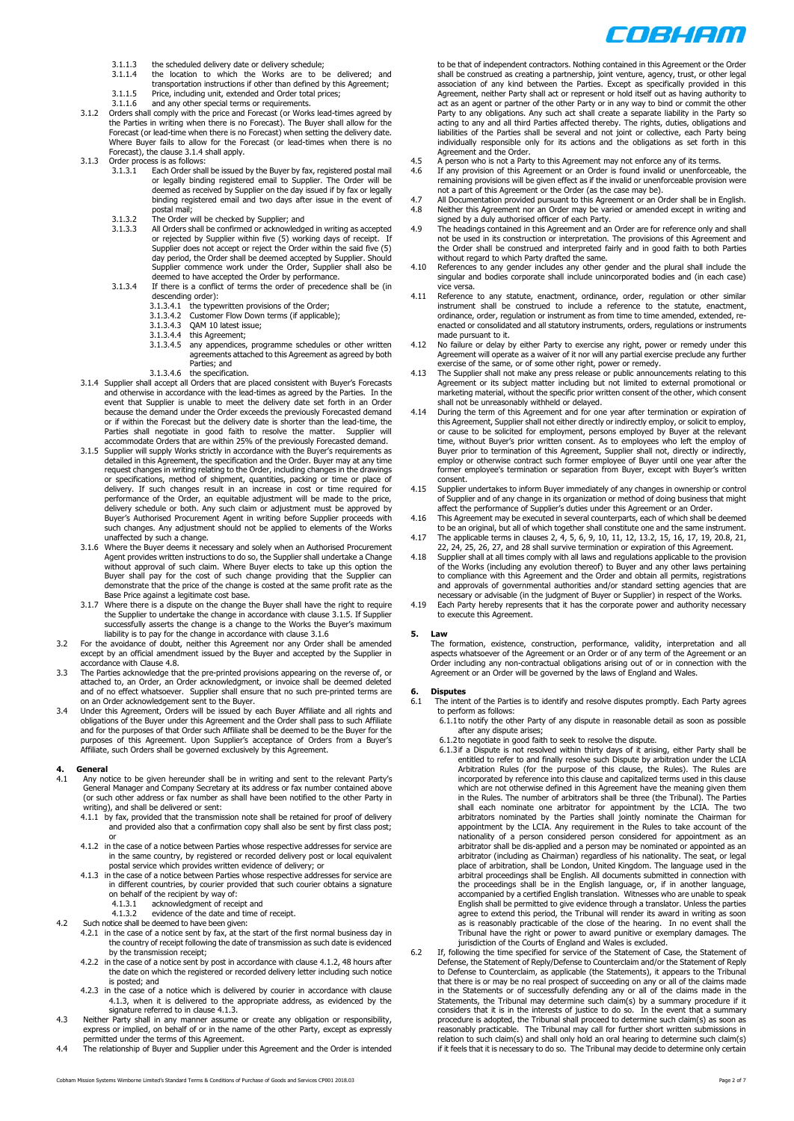COBHAM

- 
- 3.1.1.3 the scheduled delivery date or delivery schedule; 3.1.1.4 the location to which the Works are to be delivered; and transportation instructions if other than defined by this Agreement;
- 3.1.1.5 Price, including unit, extended and Order total prices;
- 3.1.1.6 and any other special terms or requirements. 3.1.2 Orders shall comply with the price and Forecast (or Works lead-times agreed by the Parties in writing when there is no Forecast). The Buyer shall allow for the Forecast (or lead-time when there is no Forecast) when setting the delivery date. Where Buyer fails to allow for the Forecast (or lead-times when there is no
- <span id="page-1-0"></span>Forecast), the clause [3.1.4](#page-1-1) shall apply. 3.1.3 Order process is as follows:<br> $3.1.3.1$  Each Order shall
	- 3.1.3.1 Each Order shall be issued by the Buyer by fax, registered postal mail or legally binding registered email to Supplier. The Order will be deemed as received by Supplier on the day issued if by fax or legally binding registered email and two days after issue in the event of postal mail;
	-
	- 3.1.3.2 The Order will be checked by Supplier; and 3.1.3.3 All Orders shall be confirmed or acknowledged in writing as accepted or rejected by Supplier within five (5) working days of receipt. If Supplier does not accept or reject the Order within the said five (5) day period, the Order shall be deemed accepted by Supplier. Should Supplier commence work under the Order, Supplier shall also be deemed to have accepted the Order by performance. 3.1.3.4 If there is a conflict of terms the order of precedence shall be (in
		- descending order):
			- 3.1.3.4.1 the typewritten provisions of the Order; 3.1.3.4.2 Customer Flow Down terms (if applicable);
			-
			-
			- 3.1.3.4.3 QAM 10 latest issue;<br>3.1.3.4.4 this Agreement;<br>3.1.3.4.5 any appendices, pro
			- 3.1.3.4.4 this Agreement; 3.1.3.4.5 any appendices, programme schedules or other written agreements attached to this Agreement as agreed by both Parties; and
				- 3.1.3.4.6 the specification.
- <span id="page-1-1"></span>3.1.4 Supplier shall accept all Orders that are placed consistent with Buyer's Forecasts and otherwise in accordance with the lead-times as agreed by the Parties. In the event that Supplier is unable to meet the delivery date set forth in an Order because the demand under the Order exceeds the previously Forecasted demand or if within the Forecast but the delivery date is shorter than the lead-time, the Parties shall negotiate in good faith to resolve the matter. Supplier will accommodate Orders that are within 25% of the previously Forecasted demand.
- <span id="page-1-2"></span>3.1.5 Supplier will supply Works strictly in accordance with the Buyer's requirements as detailed in this Agreement, the specification and the Order. Buyer may at any time request changes in writing relating to the Order, including changes in the drawings or specifications, method of shipment, quantities, packing or time or place of delivery. If such changes result in an increase in cost or time required for performance of the Order, an equitable adjustment will be made to the price, delivery schedule or both. Any such claim or adjustment must be approved by Buyer's Authorised Procurement Agent in writing before Supplier proceeds with such changes. Any adjustment should not be applied to elements of the Works unaffected by such a change.
- <span id="page-1-3"></span>3.1.6 Where the Buyer deems it necessary and solely when an Authorised Procurement Agent provides written instructions to do so, the Supplier shall undertake a Change without approval of such claim. Where Buyer elects to take up this option the Buyer shall pay for the cost of such change providing that the Supplier can demonstrate that the price of the change is costed at the same profit rate as the
- Base Price against a legitimate cost base. 3.1.7 Where there is a dispute on the change the Buyer shall have the right to require the Supplier to undertake the change in accordance with claus[e 3.1.5.](#page-1-2) If Supplier<br>successfully asserts the change is a change to the Works the Buyer's maximum<br>lability is to pay for the change in accordance with clause 3.1
- accordance with Claus[e 4.8.](#page-1-4)
- 3.3 The Parties acknowledge that the pre-printed provisions appearing on the reverse of, or attached to, an Order, an Order acknowledgment, or invoice shall be deemed deleted and of no effect whatsoever. Supplier shall ensure that no such pre-printed terms are
- on an Order acknowledgement sent to the Buyer. 3.4 Under this Agreement, Orders will be issued by each Buyer Affiliate and all rights and obligations of the Buyer under this Agreement and the Order shall pass to such Affiliate and for the purposes of that Order such Affiliate shall be deemed to be the Buyer for the purposes of this Agreement. Upon Supplier's acceptance of Orders from a Buyer's Affiliate, such Orders shall be governed exclusively by this Agreement.

## <span id="page-1-7"></span>**4. General**

- <span id="page-1-10"></span><span id="page-1-5"></span>4.1 Any notice to be given hereunder shall be in writing and sent to the relevant Party's<br>General Manager and Company Secretary at its address or fax number contained above<br>(or such other address or fax number as shall hav writing), and shall be delivered or sent:
	- 4.1.1 by fax, provided that the transmission note shall be retained for proof of delivery and provided also that a confirmation copy shall also be sent by first class post; or
	- 4.1.2 in the case of a notice between Parties whose respective addresses for service are in the same country, by registered or recorded delivery post or local equivalent
	- postal service which provides written evidence of delivery; or 4.1.3 in the case of a notice between Parties whose respective addresses for service are in different countries, by courier provided that such courier obtains a signature
		- on behalf of the recipient by way of: 4.1.3.1 acknowledgment of receipt and
		-
- <span id="page-1-6"></span>4.1.3.2 evidence of the date and time of receipt. 4.2 Such notice shall be deemed to have been given:
	- - 4.2.1 in the case of a notice sent by fax, at the start of the first normal business day in the country of receipt following the date of transmission as such date is evidenced by the transmission receipt;
		- 4.2.2 in the case of a notice sent by post in accordance with clause [4.1.2,](#page-1-5) 48 hours after the date on which the registered or recorded delivery letter including such notice is posted; and
		- 4.2.3 in the case of a notice which is delivered by courier in accordance with clause [4.1.3,](#page-1-6) when it is delivered to the appropriate address, as evidenced by the signature referred to in clause 4.1.3.
- 4.3 Neither Party shall in any manner assume or create any obligation or responsibility, express or implied, on behalf of or in the name of the other Party, except as expressly permitted under the terms of this Agreement.
- 4.4 The relationship of Buyer and Supplier under this Agreement and the Order is intended
- Agreement and the Order.<br>4.5 A person who is not a Party to this Agreement may not enforce any of its terms.<br>4.6 If any provision of this Agreement or an Order is found invalid or unenforceable, the<br>remaining provisions wi
- not a part of this Agreement or the Order (as the case may be).<br>4.7 All Documentation provided pursuant to this Agreement or an Order shall be in English.<br>4.8 Neither this Agreement nor an Order may be varied or am
- <span id="page-1-4"></span>signed by a duly authorised officer of each Party. 4.9 The headings contained in this Agreement and an Order are for reference only and shall not be used in its construction or interpretation. The provisions of this Agreement and the Order shall be construed and interpreted fairly and in good faith to both Parties without regard to which Party drafted the same.
- 4.10 References to any gender includes any other gender and the plural shall include the singular and bodies corporate shall include unincorporated bodies and (in each case) vice versa.
- 4.11 Reference to any statute, enactment, ordinance, order, regulation or other similar<br>instrument shall be construed to include a reference to the statute, enactment,<br>ordinance, order, regulation or instrument as from tim enacted or consolidated and all statutory instruments, orders, regulations or instruments
- made pursuant to it. 4.12 No failure or delay by either Party to exercise any right, power or remedy under this Agreement will operate as a waiver of it nor will any partial exercise preclude any further
- exercise of the same, or of some other right, power or remedy. 4.13 The Supplier shall not make any press release or public announcements relating to this Agreement or its subject matter including but not limited to external promotional or marketing material, without the specific prior written consent of the other, which consent shall not be unreasonably withheld or delayed.
- 4.14 During the term of this Agreement and for one year after termination or expiration of this Agreement, Supplier shall not either directly or indirectly employ, or solicit to employ, or cause to be solicited for employment, persons employed by Buyer at the relevant time, without Buyer's prior written consent. As to employees who left the employ of Buyer prior to termination of this Agreement, Supplier shall not, directly or indirectly, employ or otherwise contract such former employee of Buyer until one year after the former employee's termination or separation from Buyer, except with Buyer's written consent.
- 4.15 Supplier undertakes to inform Buyer immediately of any changes in ownership or control of Supplier and of any change in its organization or method of doing business that might affect the performance of Supplier's duties under this Agreement or an Order.
- 4.16 This Agreement may be executed in several counterparts, each of which shall be deemed to be an original, but all of which together shall constitute one and the same instrument.
- 4.17 The applicable terms in clause[s 2,](#page-0-0) [4,](#page-1-7) [5,](#page-1-8) [6,](#page-1-9) [9,](#page-2-0) [10,](#page-2-1) [11,](#page-3-0) [12,](#page-3-1) [13.2,](#page-3-2) [15,](#page-4-0) [16,](#page-4-1) [17,](#page-4-2) [19,](#page-5-0) [20.8,](#page-5-1) [21,](#page-5-2) [22,](#page-5-3) [24,](#page-5-4) [25,](#page-6-0) [26,](#page-6-1) [27,](#page-6-2) an[d 28](#page-6-3) shall survive termination or expiration of this Agreement.
- 4.18 Supplier shall at all times comply with all laws and regulations applicable to the provision of the Works (including any evolution thereof) to Buyer and any other laws pertaining to compliance with this Agreement and the Order and obtain all permits, registrations and approvals of governmental authorities and/or standard setting agencies that are
- necessary or advisable (in the judgment of Buyer or Supplier) in respect of the Works. 4.19 Each Party hereby represents that it has the corporate power and authority necessary to execute this Agreement.

### <span id="page-1-8"></span>**5. Law**

The formation, existence, construction, performance, validity, interpretation and all<br>aspects whatsoever of the Agreement or an Order or of any term of the Agreement or an<br>Order including any non-contractual obligations ar Agreement or an Order will be governed by the laws of England and Wales.

### <span id="page-1-9"></span>**6. Disputes**

- 6.1 The intent of the Parties is to identify and resolve disputes promptly. Each Party agrees to perform as follows:
	- 6.1.1to notify the other Party of any dispute in reasonable detail as soon as possible after any dispute arises; 6.1.2to negotiate in good faith to seek to resolve the dispute.
		- 6.1.3if a Dispute is not resolved within thirty days of it arising, either Party shall be entitled to refer to and finally resolve such Dispute by arbitration under the LCIA Anbitration Rules (for the purpose of this claus which are not otherwise defined in this Agreement have the meaning given them<br>in the Rules. The number of arbitrators shall be three (the Tribunal). The Parties<br>shall each nominate one arbitrator for appointment by the LCI arbitrators nominated by the Parties shall jointly nominate the Chairman for appointment by the LCIA. Any requirement in the Rules to take account of the nationality of a person considered person considered for appointment as an arbitrator shall be dis-applied and a person may be nominated or appointed as an arbitrator (including as Chairman) regardless of his nationality. The seat, or legal place of arbitration, shall be London, United Kingdom. The language used in the<br>arbitral proceedings shall be English. All documents submitted in connection with<br>the proceedings shall be in the English language, or, if in English shall be permitted to give evidence through a translator. Unless the parties agree to extend this period, the Tribunal will render its award in writing as soon as is reasonably practicable of the close of the hearing. In no event shall the Tribunal have the right or power to award punitive or exemplary damages. The jurisdiction of the Courts of England and Wales is excluded.
- 6.2 If, following the time specified for service of the Statement of Case, the Statement of Defense, the Statement of Reply/Defense to Counterclaim and/or the Statement of Reply to Defense to Counterclaim, as applicable (the Statements), it appears to the Tribunal that there is or may be no real prospect of succeeding on any or all of the claims made<br>in the Statements or of successfully defending any or all of the claims made in the<br>Statements, the Tribunal may determine such claim( relation to such claim(s) and shall only hold an oral hearing to determine such claim(s) if it feels that it is necessary to do so. The Tribunal may decide to determine only certain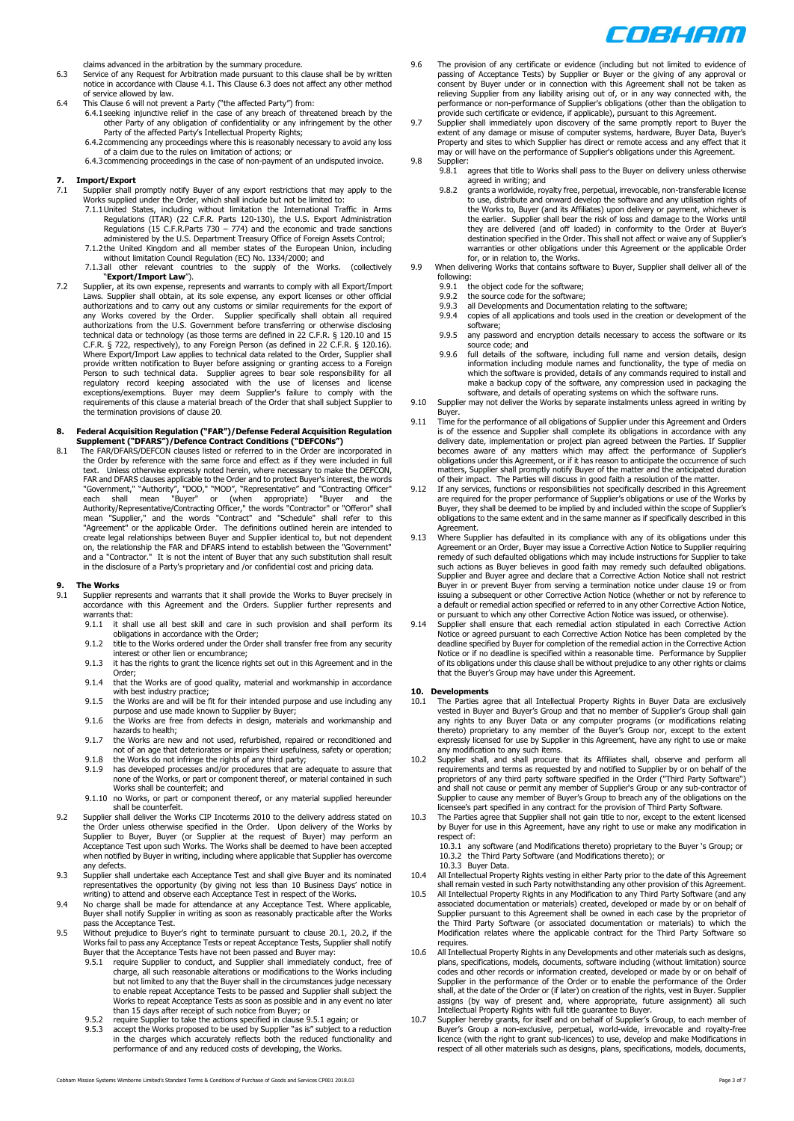

claims advanced in the arbitration by the summary procedure.

- <span id="page-2-2"></span>6.3 Service of any Request for Arbitration made pursuant to this clause shall be by written notice in accordance with Clause [4.1.](#page-1-10) This Claus[e 6.3](#page-2-2) does not affect any other method of service allowed by law.
- 
- 6.4 This Claus[e 6](#page-1-9) will not prevent a Party ("the affected Party") from: 6.4.1seeking injunctive relief in the case of any breach of threatened breach by the other Party of any obligation of confidentiality or any infringement by the other Party of the affected Party's Intellectual Property Rights; 6.4.2commencing any proceedings where this is reasonably necessary to avoid any loss
	- of a claim due to the rules on limitation of actions; or 6.4.3commencing proceedings in the case of non-payment of an undisputed invoice.
	-

## <span id="page-2-6"></span>**7. Import/Export**

- 
- 7.1 Supplier shall promptly notify Buyer of any export restrictions that may apply to the Works supplied under the Order, which shall include but not be limited to:<br>7.1.1United States, including without limitation the Int administered by the U.S. Department Treasury Office of Foreign Assets Control;
	- 7.1.2the United Kingdom and all member states of the European Union, including without limitation Council Regulation (EC) No. 1334/2000; and
	- 7.1.3all other relevant countries to the supply of the Works. (collectively "**Export/Import Law**").
- 7.2 Supplier, at its own expense, represents and warrants to comply with all Export/Import Laws. Supplier shall obtain, at its sole expense, any export licenses or other official authorizations and to carry out any customs technical data or technology (as those terms are defined in 22 C.F.R. § 120.10 and 15 C.F.R. § 722, respectively), to any Foreign Person (as defined in 22 C.F.R. § 120.16). Where Export/Import Law applies to technical data related to the Order, Supplier shall provide written notification to Buyer before assigning or granting access to a Foreign Person to such technical data. Supplier agrees to bear sole responsibility for all regulatory record keeping associated with the use of licenses and license<br>exceptions/exemptions. Buyer may deem Supplier's failure to comply with the<br>requirements.ofthis.clause.a.material.breach.of.the.Order.that.shall.sub the termination provisions of clause [20](#page-5-5).

# **8. Federal Acquisition Regulation ("FAR")/Defense Federal Acquisition Regulation Supplement ("DFARS")/Defence Contract Conditions ("DEFCONs")**

8.1 The FAR/DFARS/DEFCON clauses listed or referred to in the Order are incorporated in the Order by reference with the same force and effect as if they were included in full text. Unless otherwise expressly noted herein, where necessary to make the DEFCON, FAR and DFARS clauses applicable to the Order and to protect Buyer's interest, the words "Government," "Authority", "DOD," "MOD", "Representative" and "Contracting Officer"<br>each shall mean "Buyer" or (when appropriate) "Bu create legal relationships between Buyer and Supplier identical to, but not dependent<br>on, the relationship the FAR and DFARS intend to establish between the "Government"<br>and a "Contractor." It is not the intent of Buyer th in the disclosure of a Party's proprietary and /or confidential cost and pricing data.

### <span id="page-2-0"></span>**9. The Works**

- <span id="page-2-5"></span>9.1 Supplier represents and warrants that it shall provide the Works to Buyer precisely in accordance with this Agreement and the Orders. Supplier further represents and warrants that:
	- 9.1.1 it shall use all best skill and care in such provision and shall perform its obligations in accordance with the Order; 9.1.2 title to the Works ordered under the Order shall transfer free from any security
	-
	- interest or other lien or encumbrance; 9.1.3 it has the rights to grant the licence rights set out in this Agreement and in the Order;
	- 9.1.4 that the Works are of good quality, material and workmanship in accordance with best industry practice;
	- 9.1.5 the Works are and will be fit for their intended purpose and use including any purpose and use made known to Supplier by Buyer; 9.1.6 the Works are free from defects in design, materials and workmanship and
	- hazards to health; 9.1.7 the Works are new and not used, refurbished, repaired or reconditioned and
	-
	- not of an age that deteriorates or impairs their usefulness, safety or operation;<br>9.1.8 the Works do not infringe the rights of any third party;<br>9.1.9 has developed processes and/or procedures that are adequate to assure t
	- Works shall be counterfeit; and
	- 9.1.10 no Works, or part or component thereof, or any material supplied hereunder shall be counterfeit.
- 9.2 Supplier shall deliver the Works CIP Incoterms 2010 to the delivery address stated on the Order unless otherwise specified in the Order. Upon delivery of the Works by<br>Supplier to Buyer, Buyer (or Supplier at the request of Buyer) may perform an<br>Acceptance Test upon such Works. The Works shall be deemed to h when notified by Buyer in writing, including where applicable that Supplier has overcome any defects.
- 9.3 Supplier shall undertake each Acceptance Test and shall give Buyer and its nominated representatives the opportunity (by giving not less than 10 Business Days' notice in writing) to attend and observe each Acceptance Test in respect of the Works.
- 9.4 No charge shall be made for attendance at any Acceptance Test. Where applicable, Buyer shall notify Supplier in writing as soon as reasonably practicable after the Works pass the Acceptance Test.
- <span id="page-2-3"></span>9.5 Without prejudice to Buyer's right to terminate pursuant to clause [20.1,](#page-5-6) [20.2,](#page-5-7) if the Works fail to pass any Acceptance Tests or repeat Acceptance Tests, Supplier shall notify Buyer that the Acceptance Tests have not been passed and Buyer may:
	- 9.5.1 require Supplier to conduct, and Supplier shall immediately conduct, free of charge, all such reasonable alterations or modifications to the Works including but not limited to any that the Buyer shall in the circumstances judge necessary<br>to enable repeat Acceptance Tests to be passed and Supplier shall subject the<br>Works to repeat Acceptance Tests as soon as possible and in any
	- 9.5.2 require Supplier to take the actions specified in clause [9.5.1](#page-2-3) again; or<br>9.5.3 accept the Works proposed to be used by Supplier "as is" subject to a reduction<br>in the charges which accurately reflects both the reduced performance of and any reduced costs of developing, the Works.
- 9.6 The provision of any certificate or evidence (including but not limited to evidence of passing of Acceptance Tests) by Supplier or Buyer or the giving of any approval or possing consent by Buyer under or in connection relieving Supplier from any liability arising out of, or in any way connected with, the performance or non-performance of Supplier's obligations (other than the obligation to<br>provide such certificate or evidence, if applicable), pursuant to this Agreement.<br>9.7 Supplier shall immediately upon discovery of the
- extent of any damage or misuse of computer systems, hardware, Buyer Data, Buyer's Property and sites to which Supplier has direct or remote access and any effect that it may or will have on the performance of Supplier's obligations under this Agreement.
- 9.8 Supplier:<br>9.8.1 agrees that title to Works shall pass to the Buyer on delivery unless otherwise agreed in writing; and
	- 9.8.2 grants a worldwide, royalty free, perpetual, irrevocable, non-transferable license to use, distribute and onward develop the software and any utilisation rights of the Works to, Buyer (and its Affiliates) upon delivery or payment, whichever is the earlier. Supplier shall bear the risk of loss and damage to the Works until they are delivered (and off loaded) in conformity to the Order at Buyer's destination specified in the Order. This shall not affect or waive any of Supplier's warranties or other obligations under this Agreement or the applicable Order for, or in relation to, the Works.
- 9.9 When delivering Works that contains software to Buyer, Supplier shall deliver all of the following:<br>991 t
	- 9.9.1 the object code for the software; 9.9.2 the source code for the software;
	-
	- 9.9.3 all Developments and Documentation relating to the software;<br>9.9.4 copies of all applications and tools used in the creation or dev copies of all applications and tools used in the creation or development of the software;
	- 9.9.5 any password and encryption details necessary to access the software or its source code; and
	- 9.9.6 full details of the software, including full name and version details, design information including module names and functionality, the type of media on which the software is provided, details of any commands required to install and make a backup copy of the software, any compression used in packaging the software, and details of operating systems on which the software runs.
- 9.10 Supplier may not deliver the Works by separate instalments unless agreed in writing by Buyer.
- 9.11 Time for the performance of all obligations of Supplier under this Agreement and Orders is of the essence and Supplier shall complete its obligations in accordance with any delivery date, implementation or project plan agreed between the Parties. If Supplier becomes aware of any matters which may affect the performance of Supplier's obligations under this Agreement, or if it has reason to anticipate the occurrence of such matters, Supplier shall promptly notify Buyer of the matter and the anticipated duration
- of their impact. The Parties will discuss in good faith a resolution of the matter. 9.12 If any services, functions or responsibilities not specifically described in this Agreement are required for the proper performance of Supplier's obligations or use of the Works by Buyer, they shall be deemed to be implied by and included within the scope of Supplier's obligations to the same extent and in the same manner as if specifically described in this Agreement.
- Where Supplier has defaulted in its compliance with any of its obligations under this Agreement or an Order, Buyer may issue a Corrective Action Notice to Supplier requiring remedy of such defaulted obligations which may include instructions for Supplier to take such actions as Buyer believes in good faith may remedy such defaulted obligations. Supplier and Buyer agree and declare that a Corrective Action Notice shall not restrict Buyer in or prevent Buyer from serving a termination notice under clause 19 or from issuing a subsequent or other Corrective Action Notice (whether or not by reference to a default or remedial action specified or referred to in any other Corrective Action Notice,
- or pursuant to which any other Corrective Action Notice was issued, or otherwise). 9.14 Supplier shall ensure that each remedial action stipulated in each Corrective Action Notice or agreed pursuant to each Corrective Action Notice has been completed by the deadline specified by Buyer for completion of the remedial action in the Corrective Action Notice or if no deadline is specified within a reasonable time. Performance by Supplier of its obligations under this clause shall be without prejudice to any other rights or claims that the Buyer's Group may have under this Agreement.

### <span id="page-2-1"></span>**10. Developments**

- <span id="page-2-4"></span>10.1 The Parties agree that all Intellectual Property Rights in Buyer Data are exclusively vested in Buyer and Buyer's Group and that no member of Supplier's Group shall gain any rights to any Buyer Data or any computer programs (or modifications relating thereto) proprietary to any member of the Buyer's Group nor, except to the extent expressly licensed for use by Supplier in this Agreement, have any right to use or make any modification to any such items.
- 10.2 Supplier shall, and shall procure that its Affiliates shall, observe and perform all requirements and terms as requested by and notified to Supplier by or on behalf of the proprietors of any third party software specified in the Order ("Third Party Software") and shall not cause or permit any member of Supplier's Group or any sub-contractor of<br>Supplier to cause any member of Buyer's Group to breach any of the obligations on the<br>licensee's part specified in any contract for the
- 10.3 The Parties agree that Supplier shall not gain title to nor, except to the extent licensed by Buyer for use in this Agreement, have any right to use or make any modification in respect of:

10.3.1 any software (and Modifications thereto) proprietary to the Buyer 's Group; or 10.3.2 the Third Party Software (and Modifications thereto); or 10.3.3 Buyer Data.

- 10.4 All Intellectual Property Rights vesting in either Party prior to the date of this Agreement<br>shall remain vested in such Party notwithstanding any other provision of this Agreement.<br>10.5 All Intellectual Property Righ
- Supplier pursuant to this Agreement shall be owned in each case by the proprietor of the Third Party Software (or associated documentation or materials) to which the Modification relates where the applicable contract for the Third Party Software so requires.
- 10.6 All Intellectual Property Rights in any Developments and other materials such as designs, plans, specifications, models, documents, software including (without limitation) source codes and other records or information created, developed or made by or on behalf of Supplier in the performance of the Order or to enable the performance of the Order<br>shall, at the date of the Order or (if later) on creation of the rights, vest in Buyer. Supplier<br>assigns (by way of present and, where appr
- respect of all other materials such as designs, plans, specifications, models, documents,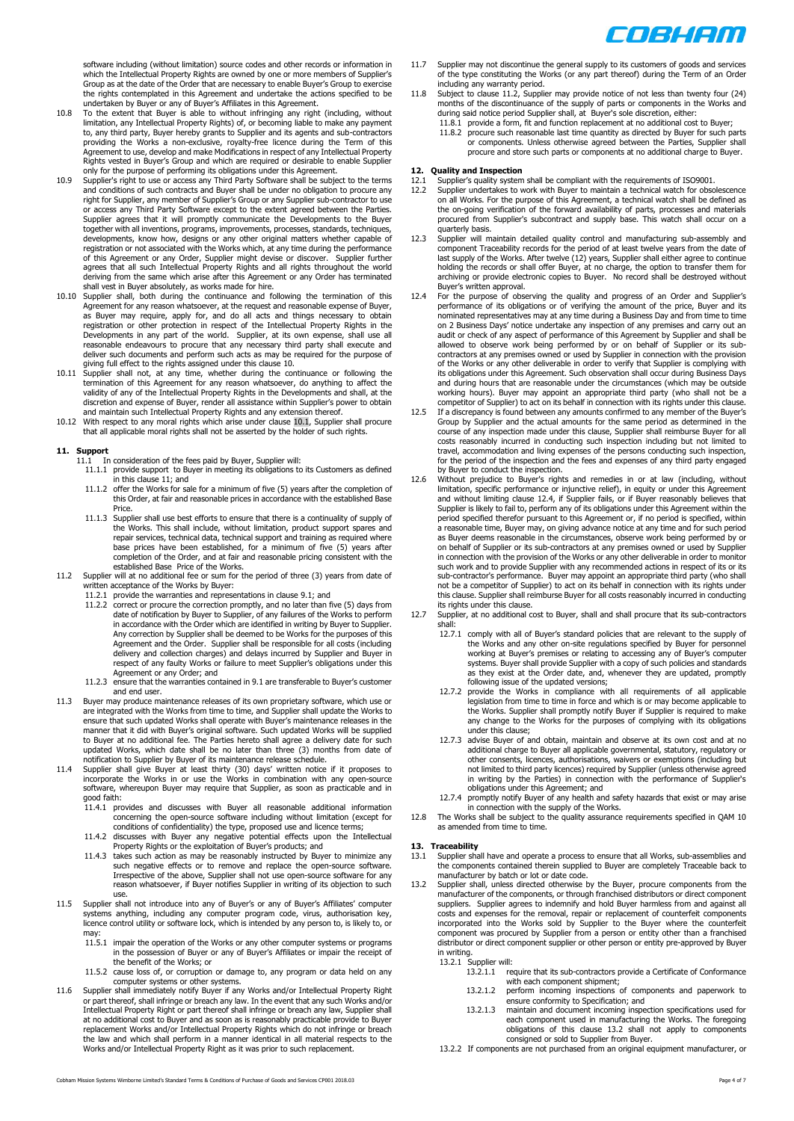

software including (without limitation) source codes and other records or information in which the Intellectual Property Rights are owned by one or more members of Supplier's Group as at the date of the Order that are necessary to enable Buyer's Group to exercise the rights contemplated in this Agreement and undertake the actions specified to be

- undertaken by Buyer or any of Buyer's Affiliates in this Agreement. 10.8 To the extent that Buyer is able to without infringing any right (including, without limitation, any Intellectual Property Rights) of, or becoming liable to make any payment to, any third party, Buyer hereby grants to Supplier and its agents and sub-contractors providing the Works a non-exclusive, royalty-free licence during the Term of this Agreement to use, develop and make Modifications in respect of any Intellectual Property Rights vested in Buyer's Group and which are required or desirable to enable Supplier
- only for the purpose of performing its obligations under this Agreement.<br>10.9 Supplier's right to use or access any Third Party Software shall be subject to the terms<br>and conditions of such contracts and Buyer shall be und Supplier agrees that it will promptly communicate the Developments to the Buyer together with all inventions, programs, improvements, processes, standards, techniques, developments, know how, designs or any other original matters whether capable of registration or not associated with the Works which, at any time during the performance of this Agreement or any Order, Supplier might devise or discover. Supplier further agrees that all such Intellectual Property Rights and all rights throughout the world deriving from the same which arise after this Agreement or any Order has terminated
- shall vest in Buyer absolutely, as works made for hire. 10.10 Supplier shall, both during the continuance and following the termination of this Agreement for any reason whatsoever, at the request and reasonable expense of Buyer,<br>as Buyer may require, apply for, and do all acts and things necessary to obtain<br>registration or other protection in res Developments in any part of the world. Supplier, at its own expense, shall use all reasonable endeavours to procure that any necessary third party shall execute and deliver such documents and perform such acts as may be required for the purpose of
- giving full effect to the rights assigned under this claus[e 10.](#page-2-1) 10.11 Supplier shall not, at any time, whether during the continuance or following the termination of this Agreement for any reason whatsoever, do anything to affect the<br>validity of any of the Intellectual Property Rights in the Developments and shall, at the<br>discretion and expense of Buyer, render all assis
- 10.12 With respect to any moral rights which arise under claus[e 10.1,](#page-2-4) Supplier shall procure that all applicable moral rights shall not be asserted by the holder of such rights.

- <span id="page-3-0"></span>**11. Support** 11.1 In consideration of the fees paid by Buyer, Supplier will:
	- 11.1.1 provide support to Buyer in meeting its obligations to its Customers as defined in this claus[e 11;](#page-3-0) and 11.1.2 offer the Works for sale for a minimum of five (5) years after the completion of
	- this Order, at fair and reasonable prices in accordance with the established Base Price.
	- 11.1.3 Supplier shall use best efforts to ensure that there is a continuality of supply of the Works. This shall include, without limitation, product support spares and repair services, technical data, technical support and training as required where base prices have been established, for a minimum of five (5) years after completion of the Order, and at fair and reasonable pricing consistent with the
- <span id="page-3-3"></span>established Base Price of the Works. 11.2 Supplier will at no additional fee or sum for the period of three (3) years from date of written acceptance of the Works by Buyer:
	- - 11.2.1 provide the warranties and representations in clause [9.1;](#page-2-5) and 11.2.2 correct or procure the correction promptly, and no later than five (5) days from date of notification by Buyer to Supplier, of any failures of the Works to perform in accordance with the Order which are identified in writing by Buyer to Supplier. Any correction by Supplier shall be deemed to be Works for the purposes of this<br>Agreement and the Order. Supplier shall be responsible for all costs (including<br>delivery and collection charges) and delays incurred by Suppl respect of any faulty Works or failure to meet Supplier's obligations under this Agreement or any Order; and
		- 11.2.3 ensure that the warranties contained i[n 9.1](#page-2-5) are transferable to Buyer's customer and end user.
- 11.3 Buyer may produce maintenance releases of its own proprietary software, which use or are integrated with the Works from time to time, and Supplier shall update the Works to ensure that such updated Works shall operate with Buyer's maintenance releases in the manner that it did with Buyer's original software. Such updated Works will be supplied to Buyer at no additional fee. The Parties hereto shall agree a delivery date for such updated Works, which date shall be no later than three (3) months from date of notification to Supplier by Buyer of its maintenance release schedule.
- 11.4 Supplier shall give Buyer at least thirty (30) days' written notice if it proposes to incorporate the Works in or use the Works in combination with any open-source software, whereupon Buyer may require that Supplier, as soon as practicable and in good faith:<br>11.4.1 pro
	- 11.1.1<br>provides and discusses with Buyer all reasonable additional information concerning the open-source software including without limitation (except for conditions of confidentiality) the type, proposed use and licence terms;
	- 11.4.2 discusses with Buyer any negative potential effects upon the Intellectual<br>Property Rights or the exploitation of Buyer's products; and<br>11.4.3 takes such action as may be reasonably instructed by Buyer to minimize an
	- such negative effects or to remove and replace the open-source software. Irrespective of the above, Supplier shall not use open-source software for any reason whatsoever, if Buyer notifies Supplier in writing of its objection to such use.
- Supplier shall not introduce into any of Buyer's or any of Buyer's Affiliates' computer systems anything, including any computer program code, virus, authorisation key, licence control utility or software lock, which is intended by any person to, is likely to, or may: 11.5.1 impair the operation of the Works or any other computer systems or programs
	- in the possession of Buyer or any of Buyer's Affiliates or impair the receipt of
	- the benefit of the Works; or 11.5.2 cause loss of, or corruption or damage to, any program or data held on any
- computer systems or other systems.<br>
1.6 Supplier shall inmediately notify Buyer if any Works and/or Intellectual Property Right<br>
or part thereof, shall infringe or breach any law. In the event that any such Works and/or<br>
I Works and/or Intellectual Property Right as it was prior to such replacement.
- 11.7 Supplier may not discontinue the general supply to its customers of goods and services of the type constituting the Works (or any part thereof) during the Term of an Order
- including any warranty period. 11.8 Subject to clause [11.2,](#page-3-3) Supplier may provide notice of not less than twenty four (24) months of the discontinuance of the supply of parts or components in the Works and during said notice period Supplier shall, at Buyer's sole discretion, either:
	- 11.8.1 provide a form, fit and function replacement at no additional cost to Buyer;
	- 11.8.2 procure such reasonable last time quantity as directed by Buyer for such parts or components. Unless otherwise agreed between the Parties, Supplier shall procure and store such parts or components at no additional charge to Buyer.

## <span id="page-3-1"></span>**12. Quality and Inspection**

- 12.1 Supplier's quality system shall be compliant with the requirements of ISO9001. 12.2 Supplier undertakes to work with Buyer to maintain a technical watch for obsolescence
- on all Works. For the purpose of this Agreement, a technical watch shall be defined as the on-going verification of the forward availability of parts, processes and materials procured from Supplier's subcontract and supply base. This watch shall occur on a .<br>quarterly basis.
- 12.3 Supplier will maintain detailed quality control and manufacturing sub-assembly and component Traceability records for the period of at least twelve years from the date of last supply of the Works. After twelve (12) years, Supplier shall either agree to continue holding the records or shall offer Buyer, at no charge, the option to transfer them for archiving or provide electronic copies to Buyer. No record shall be destroyed without Buyer's written approval.
- <span id="page-3-4"></span>12.4 For the purpose of observing the quality and progress of an Order and Supplier's performance of its obligations or of verifying the amount of the price, Buyer and its<br>nominated representatives may at any time during a Business Day and from time to time<br>on 2 Business Days' notice undertake any inspectio audit or check of any aspect of performance of this Agreement by Supplier and shall be allowed to observe work being performed by or on behalf of Supplier or its subcontractors at any premises owned or used by Supplier in connection with the provision of the Works or any other deliverable in order to verify that Supplier is complying with its obligations under this Agreement. Such observation shall occur during Business Days and during hours that are reasonable under the circumstances (which may be outside<br>working hours). Buyer may appoint an appropriate third party (who shall not be a<br>competitor of Supplier) to act on its behalf in connection
- Group by Supplier and the actual amounts for the same period as determined in the course of any inspection made under this clause, Supplier shall reimburse Buyer for all costs reasonably incurred in conducting such inspection including but not limited to travel, accommodation and living expenses of the persons conducting such inspection, for the period of the inspection and the fees and expenses of any third party engaged by Buyer to conduct the inspection.
- 12.6 Without prejudice to Buyer's rights and remedies in or at law (including, without limitation, specific performance or injunctive relief), in equity or under this Agreement and without limiting clause [12.4,](#page-3-4) if Supplier fails, or if Buyer reasonably believes that Supplier is likely to fail to, perform any of its obligations under this Agreement within the period specified therefor pursuant to this Agreement or, if no period is specified, within<br>a reasonable time, Buyer may, on giving advance notice at any time and for such period<br>as Buyer deems reasonable in the circumstanc on behalf of Supplier or its sub-contractors at any premises owned or used by Supplier in connection with the provision of the Works or any other deliverable in order to monitor such work and to provide Supplier with any recommended actions in respect of its or its sub-contractor's performance. Buyer may appoint an appropriate third party (who shall not be a competitor of Supplier) to act on its behalf in connection with its rights under this clause. Supplier shall reimburse Buyer for all costs reasonably incurred in conducting its rights under this clause.
- 12.7 Supplier, at no additional cost to Buyer, shall and shall procure that its sub-contractors shall:
	- 12.7.1 comply with all of Buyer's standard policies that are relevant to the supply of the Works and any other on-site regulations specified by Buyer for personnel working at Buyer's premises or relating to accessing any o
	- following issue of the updated versions; 12.7.2 provide the Works in compliance with all requirements of all applicable legislation from time to time in force and which is or may become applicable to the Works. Supplier shall promptly notify Buyer if Supplier is required to make any change to the Works for the purposes of complying with its obligations under this clause;
	- 12.7.3 advise Buyer of and obtain, maintain and observe at its own cost and at no additional charge to Buyer all applicable governmental, statutory, regulatory or other consents, licences, authorisations, waivers or exemptions (including but not limited to third party licences) required by Supplier (unless otherwise agreed<br>in writing by the Parties) in connection with the performance of Supplier's<br>boligations under this Agreement; and<br>12.7.4 promptly notify Bu
	-
- 12.8 The Works shall be subject to the quality assurance requirements specified in QAM 10 as amended from time to time.

- **13. Traceability** 13.1 Supplier shall have and operate a process to ensure that all Works, sub-assemblies and the components contained therein supplied to Buyer are completely Traceable back to manufacturer by batch or lot or date code.
- <span id="page-3-2"></span>13.2 Supplier shall, unless directed otherwise by the Buyer, procure components from the manufacturer of the components, or through franchised distributors or direct component<br>suppliers. Supplier agrees to indemnify and ho costs and expenses for the removal, repair or replacement of counterfeit components incorporated into the Works sold by Supplier to the Buyer where the counterfeit component was procured by Supplier from a person or entity other than a franchised distributor or direct component supplier or other person or entity pre-approved by Buyer in writing.
	- 13.2.1 Supplier will:<br>13.2.1.1 re
		- .....<br>require that its sub-contractors provide a Certificate of Conformance
		- with each component shipment; 13.2.1.2 perform incoming inspections of components and paperwork to
		- ensure conformity to Specification; and<br>[13.2](#page-3-2).1.3 maintain and document incoming inspection specifications used for<br>each component used in manufacturing the Works. The foregoing<br>obligations of this clause 13.2 shall not app consigned or sold to Supplier from Buyer.
	- 13.2.2 If components are not purchased from an original equipment manufacturer, or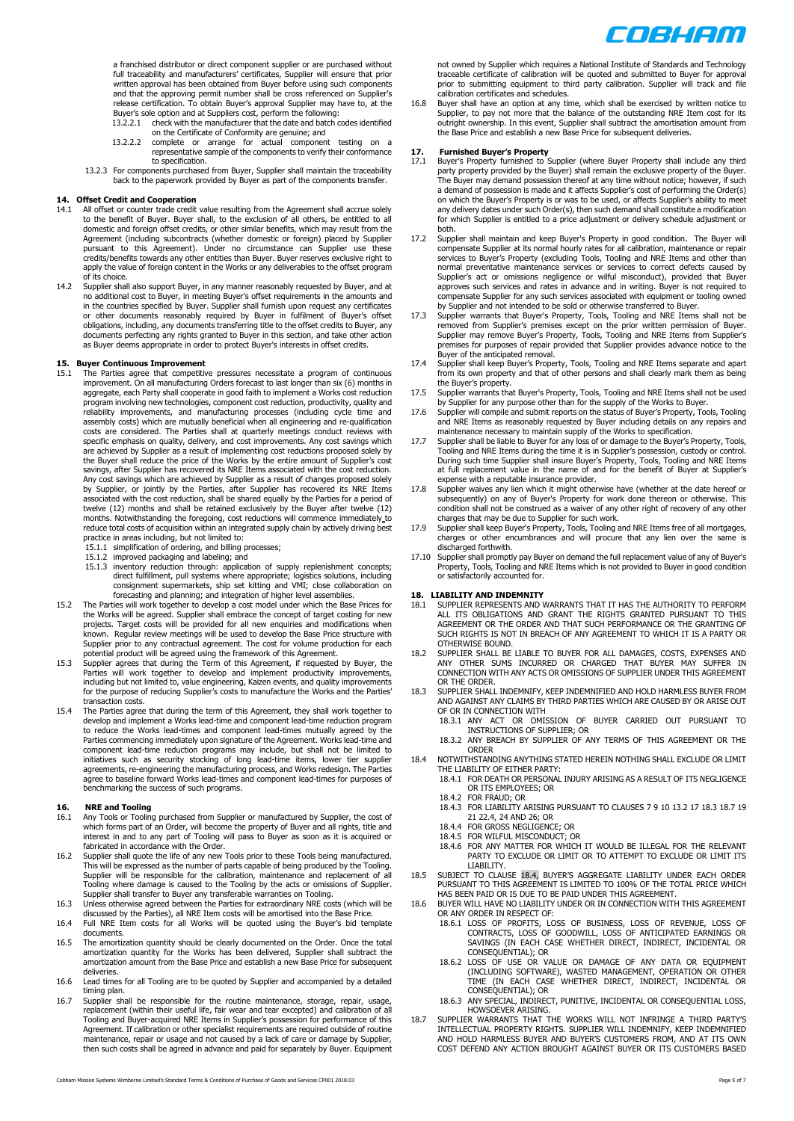

a franchised distributor or direct component supplier or are purchased without<br>full traceability and manufacturers' certificates, Supplier will ensure that prior<br>written approval has been obtained from Buyer before using s release certification. To obtain Buyer's approval Supplier may have to, at the Buyer's sole option and at Suppliers cost, perform the following:

- 13.2.2.1 check with the manufacturer that the date and batch codes identified
- on the Certificate of Conformity are genuine; and<br>13.2.2.2 complete or arrange for actual component testing on a<br>representative sample of the components to verify their conformance to specification.
- 13.2.3 For components purchased from Buyer, Supplier shall maintain the traceability back to the paperwork provided by Buyer as part of the components transfer.

# **14. Offset Credit and Cooperation**<br>**14.1** All offset or counter trade credit

- 14.1 All offset or counter trade credit value resulting from the Agreement shall accrue solely to the benefit of Buyer. Buyer shall, to the exclusion of all others, be entitled to all domestic and foreign offset credits, or other similar benefits, which may result from the Agreement (including subcontracts (whether domestic or foreign) placed by Supplier pursuant to this Agreement). Under no circumstance can Supplier use these credits/benefits towards any other entities than Buyer. Buyer reserves exclusive right to apply the value of foreign content in the Works or any deliverables to the offset program of its choice.
- 14.2 Supplier shall also support Buyer, in any manner reasonably requested by Buyer, and at no additional cost to Buyer, in meeting Buyer's offset requirements in the amounts and in the countries specified by Buyer. Suppli documents perfecting any rights granted to Buyer in this section, and take other action as Buyer deems appropriate in order to protect Buyer's interests in offset credits.

- <span id="page-4-0"></span>**15. Buyer Continuous Improvement** 15.1 The Parties agree that competitive pressures necessitate a program of continuous improvement. On all manufacturing Orders forecast to last longer than six (6) months in aggregate, each Party shall cooperate in good faith to implement a Works cost reduction program involving new technologies, component cost reduction, productivity, quality and<br>reliability improvements, and manufacturing processes (including cycle time and<br>assembly costs) which are mutually beneficial costs are considered. The Parties shall at quarterly meetings conduct reviews with specific emphasis on quality, delivery, and cost improvements. Any cost savings which are achieved by Supplier as a result of implementing cost reductions proposed solely by the Buyer shall reduce the price of the Works by the entire amount of Supplier's cost savings, after Supplier has recovered its NRE Items associated with the cost reduction. Any cost savings which are achieved by Supplier as a result of changes proposed solely by Supplier, or jointly by the Parties, after Supplier has recovered its NRE Items associated with the cost reduction, shall be shared equally by the Parties for a period of<br>twelve (12) months and shall be retained exclusively by the Buyer after twelve (12)<br>months. Notwithstanding the foregoing, cost red practice in areas including, but not limited to: 15.1.1 simplification of ordering, and billing processes; 15.1.2 improved packaging and labeling; and
	-
	-
	- 15.1.3 inventory reduction through: application of supply replenishment concepts; direct fulfillment, pull systems where appropriate; logistics solutions, including consignment supermarkets, ship set kitting and VMI; close collaboration on
- forecasting and planning; and integration of higher level assemblies. 15.2 The Parties will work together to develop a cost model under which the Base Prices for the Works will be agreed. Supplier shall embrace the concept of target costing for new projects. Target costs will be provided for all new enquiries and modifications when
- known. Regular review meetings will be used to develop the Base Price structure with<br>Supplier prior to any contractual agreement. The cost for volume production for each<br>potential product will be agreed using the framework
- transaction costs. 15.4 The Parties agree that during the term of this Agreement, they shall work together to develop and implement a Works lead-time and component lead-time reduction program to reduce the Works lead-times and component lead-times mutually agreed by the Parties commencing immediately upon signature of the Agreement. Works lead-time and component lead-time reduction programs may include, but shall not be limited to<br>initiatives such as security stocking of long lead-time items, lower tier supplier<br>agreements, re-engineering the manufacturing process, and W agree to baseline forward Works lead-times and component lead-times for purposes of benchmarking the success of such programs.

### <span id="page-4-1"></span>**16. NRE and Tooling**

- 16.1 Any Tools or Tooling purchased from Supplier or manufactured by Supplier, the cost of which forms part of an Order, will become the property of Buyer and all rights, title and interest in and to any part of Tooling will pass to Buyer as soon as it is acquired or
- fabricated in accordance with the Order. 16.2 Supplier shall quote the life of any new Tools prior to these Tools being manufactured. This will be expressed as the number of parts capable of being produced by the Tooling.<br>Supplier will be responsible for the calibration, maintenance and replacement of all<br>Tooling where damage is caused to the Tooling by
- 
- discussed by the Parties), all NRE Item costs will be amortised into the Base Price. 16.4 Full NRE Item costs for all Works will be quoted using the Buyer's bid template documents.
- 16.5 The amortization quantity should be clearly documented on the Order. Once the total amortization quantity for the Works has been delivered, Supplier shall subtract the amortization amount from the Base Price and establish a new Base Price for subsequent
- deliveries. 16.6 Lead times for all Tooling are to be quoted by Supplier and accompanied by a detailed timing plan.
- 16.7 Supplier shall be responsible for the routine maintenance, storage, repair, usage, replacement (within their useful life, fair wear and tear excepted) and calibration of all Tooling and Buyer-acquired NRE Items in Sup maintenance, repair or usage and not caused by a lack of care or damage by Supplier, then such costs shall be agreed in advance and paid for separately by Buyer. Equipment

not owned by Supplier which requires a National Institute of Standards and Technology traceable certificate of calibration will be quoted and submitted to Buyer for approval prior to submitting equipment to third party calibration. Supplier will track and file calibration certificates and schedules.

16.8 Buyer shall have an option at any time, which shall be exercised by written notice to Supplier, to pay not more that the balance of the outstanding NRE Item cost for its outright ownership. In this event, Supplier shall subtract the amortisation amount from the Base Price and establish a new Base Price for subsequent deliveries.

- <span id="page-4-2"></span>**17.** Furnished Buyer's Property<br>17.1 Buyer's Property furnished to Supplier (where Buyer Property shall include any third<br>party property provided by the Buyer) shall remain the exclusive property of the Buyer.<br>The Buyer m a demand of possession is made and it affects Supplier's cost of performing the Order(s) on which the Buyer's Property is or was to be used, or affects Supplier's ability to meet any delivery dates under such Order(s), then such demand shall constitute a modification for which Supplier is entitled to a price adjustment or delivery schedule adjustment or both.
- 17.2 Supplier shall maintain and keep Buyer's Property in good condition. The Buyer will compensate Supplier at its normal hourly rates for all calibration, maintenance or repair services to Buyer's Property (excluding Tools, Tooling and NRE Items and other than normal preventative maintenance services or services to correct defects caused by<br>Supplier's act or omissions negligence or wilful misconduct), provided that Buyer<br>approves such services and rates in advance and in writing compensate Supplier for any such services associated with equipment or tooling owned by Supplier and not intended to be sold or otherwise transferred to Buyer.
- 17.3 Supplier warrants that Buyer's Property, Tools, Tooling and NRE Items shall not be removed from Supplier's premises except on the prior written permission of Buyer. Supplier may remove Buyer's Property, Tools, Tooling and NRE Items from Supplier's premises for purposes of repair provided that Supplier provides advance notice to the Buyer of the anticipated removal.
- 17.4 Supplier shall keep Buyer's Property, Tools, Tooling and NRE Items separate and apart from its own property and that of other persons and shall clearly mark them as being
- 
- the Buyer's property.<br>
17.5 Supplier warrants that Buyer's Property, Tools, Tooling and NRE Items shall not be used<br>
by Supplier arm any purpose other than for the supply of the Works to Buyer.<br>
17.6 Supplier will compile
- <span id="page-4-6"></span>Tooling and NRE Items during the time it is in Supplier's possession, custody or control. During such time Supplier shall insure Buyer's Property, Tools, Tooling and NRE Items at full replacement value in the name of and for the benefit of Buyer at Supplier's
- expense with a reputable insurance provider. 17.8 Supplier waives any lien which it might otherwise have (whether at the date hereof or subsequently) on any of Buyer's Property for work done thereon or otherwise. This condition shall not be construed as a waiver of any other right of recovery of any other
- charges that may be due to Supplier for such work.<br>17.9 Supplier shall keep Buyer's Property, Tools, Tooling and NRE Items free of all mortgages,<br>charges or other encumbrances and will procure that any lien over the same i discharged forthwith.
- 17.10 Supplier shall promptly pay Buyer on demand the full replacement value of any of Buyer's Property, Tools, Tooling and NRE Items which is not provided to Buyer in good condition or satisfactorily accounted for.

- **18. LIABILITY AND INDEMNITY** 18.1 SUPPLIER REPRESENTS AND WARRANTS THAT IT HAS THE AUTHORITY TO PERFORM ALL ITS OBLIGATIONS AND GRANT THE RIGHTS GRANTED PURSUANT TO THIS AGREEMENT OR THE ORDER AND THAT SUCH PERFORMANCE OR THE GRANTING OF SUCH RIGHTS IS NOT IN BREACH OF ANY AGREEMENT TO WHICH IT IS A PARTY OR OTHERWISE BOUND.
- 18.2 SUPPLIER SHALL BE LIABLE TO BUYER FOR ALL DAMAGES, COSTS, EXPENSES AND ANY OTHER SUMS INCURRED OR CHARGED THAT BUYER MAY SUFFER IN CONNECTION WITH ANY ACTS OR OMISSIONS OF SUPPLIER UNDER THIS AGREEMENT OR THE ORDER
- <span id="page-4-3"></span>18.3 SUPPLIER SHALL INDEMNIFY, KEEP INDEMNIFIED AND HOLD HARMLESS BUYER FROM AND AGAINST ANY CLAIMS BY THIRD PARTIES WHICH ARE CAUSED BY OR ARISE OUT OF OR IN CONNECTION WITH
	- 18.3.1 ANY ACT OR OMISSION OF BUYER CARRIED OUT PURSUANT TO INSTRUCTIONS OF SUPPLIER; OR 18.3.2 ANY BREACH BY SUPPLIER OF ANY TERMS OF THIS AGREEMENT OR THE
	- ORDER
- <span id="page-4-5"></span>18.4 NOTWITHSTANDING ANYTHING STATED HEREIN NOTHING SHALL EXCLUDE OR LIMIT THE LIABILITY OF EITHER PARTY: 18.4.1 FOR DEATH OR PERSONAL INJURY ARISING AS A RESULT OF ITS NEGLIGENCE
	- OR ITS EMPLOYEES; OR
		- 18.4.2 FOR FRAUD; OR
		- 18.4.3 FOR LIABILITY ARISING PURSUANT TO CLAUSE[S 7](#page-2-6) [9](#page-2-0) [10](#page-2-1) [13.2](#page-3-2) [17](#page-4-2) [18.3](#page-4-3) [18.7](#page-4-4) [19](#page-5-0) [21](#page-5-2) [22.4,](#page-5-8) [24](#page-5-4) AN[D 26;](#page-6-1) OR 18.4.4 FOR GROSS NEGLIGENCE; OR
		-
	- 18.4.5 FOR WILFUL MISCONDUCT; OR 18.4.6 FOR ANY MATTER FOR WHICH IT WOULD BE ILLEGAL FOR THE RELEVANT PARTY TO EXCLUDE OR LIMIT OR TO ATTEMPT TO EXCLUDE OR LIMIT ITS LIABILITY.
- 18.5 SUBJECT TO CLAUSE [18.4,](#page-4-5) BUYER'S AGGREGATE LIABILITY UNDER EACH ORDER<br>PURSUANT TO THIS AGREEMENT IS LIMITED TO 100% OF THE TOTAL PRICE WHICH<br>HAS BEEN PAID OR IS DUE TO BE PAID UNDER THIS AGREEMENT.
- 18.6 BUYER WILL HAVE NO LIABILITY UNDER OR IN CONNECTION WITH THIS AGREEMENT
	- OR ANY ORDER IN RESPECT OF: 18.6.1 LOSS OF PROFITS, LOSS OF BUSINESS, LOSS OF REVENUE, LOSS OF CONTRACTS, LOSS OF GOODWILL, LOSS OF ANTICIPATED EARNINGS OR SAVINGS (IN EACH CASE WHETHER DIRECT, INDIRECT, INCIDENTAL OR
		- CONSEQUENTIAL); OR<br>18.6.2 LOSS OF USE OR VALUE OR DAMAGE OF ANY DATA OR EQUIPMENT<br>(INCLUDING SOFTWARE), WASTED MANAGEMENT, OPERATION OR OTHER<br>TIME (IN EACH CASE WHETHER DIRECT, INDIRECT, INCIDENTAL OR<br>CONSEQUENTIAL); OR
		- 18.6.3 ANY SPECIAL, INDIRECT, PUNITIVE, INCIDENTAL OR CONSEQUENTIAL LOSS, HOWSOEVER ARISING.
- <span id="page-4-4"></span>18.7 SUPPLIER WARRANTS THAT THE WORKS WILL NOT INFRINGE A THIRD PARTY'S<br>INTELLECTUAL PROPERTY RIGHTS. SUPPLIER WILL INDEMNIFY, KEEP INDEMN<br>AND HOLD HARMLESS BUYER AND BUYER'S CUSTOMERS FROM, AND AT ITS OWN COST DEFEND ANY ACTION BROUGHT AGAINST BUYER OR ITS CUSTOMERS BASED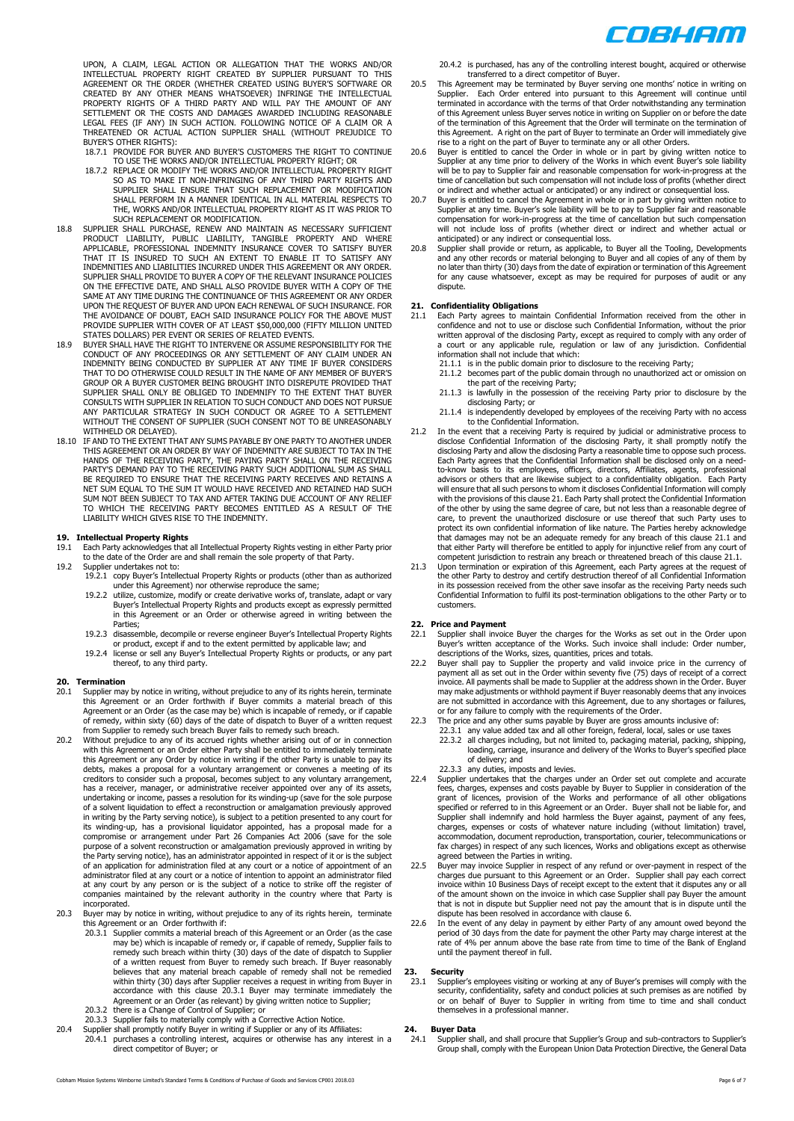

UPON, A CLAIM, LEGAL ACTION OR ALLEGATION THAT THE WORKS AND/OR<br>INTELLECTUAL PROPERTY RIGHT CREATED BY SUPPLIER PURSUANT TO THIS<br>AGREEMENT OR THE ORDER (WHETHER CREATED USING BUYER'S SOFTWARE OR CREATED BY ANY OTHER MEANS WHATSOEVER) INFRINGE THE INTELLECTUAL PROPERTY RIGHTS OF A THIRD PARTY AND WILL PAY THE AMOUNT OF ANY SETTLEMENT OR THE COSTS AND DAMAGES AWARDED INCLUDING REASONABLE LEGAL FEES (IF ANY) IN SUCH ACTION. FOLLOWING NOTICE OF A CLAIM OR A THREATENED OR ACTUAL ACTION SUPPLIER SHALL (WITHOUT PREJUDICE TO BUYER'S OTHER RIGHTS):

- 18.7.1 PROVIDE FOR BUYER AND BUYER'S CUSTOMERS THE RIGHT TO CONTINUE TO USE THE WORKS AND/OR INTELLECTUAL PROPERTY RIGHT; OR
- 18.7.2 REPLACE OR MODIFY THE WORKS AND/OR INTELLECTUAL PROPERTY RIGHT<br>SO AS TO MAKE IT NON-INFRINGING OF ANY THIRD PARTY RIGHTS AND<br>SUPPLIER SHALL ENSURE THAT SUCH REPLACEMENT OR MODIFICATION<br>SHALL PERFORM IN A MANNER IDEN THE, WORKS AND/OR INTELLECTUAL PROPERTY RIGHT AS IT WAS PRIOR TO
- <span id="page-5-10"></span>SUCH REPLACEMENT OR MODIFICATION.<br>18.8 SUPPLIER SHALL PURCHASE, RENEW AND MAINTAIN AS NECESSARY SUFFICIENT<br>PRODUCT LIABILITY, PUBLIC LIABILITY, TANGIBLE PROPERTY AND WHERE<br>APPLICABLE, PROFESSIONAL INDEMNITY INSURANCE COVER UPON THE REQUEST OF BUYER AND UPON EACH RENEWAL OF SUCH INSURANCE. FOR<br>THE AVOIDANCE OF DOUBT, EACH SAID INSURANCE POLICY FOR THE ABOVE MUST<br>PROVIDE SUPPLIER WITH COVER OF AT LEAST \$50,000,000 (FIFTY MILLION UNITED
- STATES DOLLARS) PER EVENT OR SERIES OF RELATED EVENTS. 18.9 BUYER SHALL HAVE THE RIGHT TO INTERVENE OR ASSUME RESPONSIBILITY FOR THE CONDUCT OF ANY PROCEEDINGS OR ANY SETTLEMENT OF ANY CLAIM UNDER AN<br>INDEMNITY BEING CONDUCTED BY SUPPLIER AT ANY TIME IF BUYER CONSIDERS<br>THAT TO DO OTHERWISE COULD RESULT IN THE NAME OF ANY MEMBER OF BUYER'S GROUP OR A BUYER CUSTOMER BEING BROUGHT INTO DISREPUTE PROVIDED THAT<br>SUPPLIER SHALL ONLY BE OBLIGED TO INDEMNIFY TO THE EXTENT THAT BUYER<br>CONSULTS WITH SUPPLIER IN RELATION TO SUCH CONDUCT AND DOES NOT PURSUE<br>ANY PARTICULA WITHOUT THE CONSENT OF SUPPLIER (SUCH CONSENT NOT TO BE UNREASONABLY WITHHELD OR DELAYED).
- 18.10 IF AND TO THE EXTENT THAT ANY SUMS PAYABLE BY ONE PARTY TO ANOTHER UNDER THIS AGREEMENT OR AN ORDER BY WAY OF INDEMNITY ARE SUBJECT TO TAX IN THE HANDS OF THE RECEIVING PARTY, THE PAYING PARTY SHALL ON THE RECEIVING PARTY'S DEMAND PAY TO THE RECEIVING PARTY SUCH ADDITIONAL SUM AS SHALL<br>BE REQUIRED TO ENSURE THAT THE RECEIVING PARTY RECEIVES AND RETAINED<br>NET SUM EQUAL TO THE SUM IT WOULD HAVE RECEIVED AND RETAINED HAD SUCH SUM NOT BEEN SUBJECT TO TAX AND AFTER TAKING DUE ACCOUNT OF ANY RELIEF<br>TO WHICH THE RECEIVING PARTY BECOMES ENTITLED AS A RESULT OF THE<br>LIABILITY WHICH GIVES RISE TO THE INDEMNITY.

- <span id="page-5-0"></span>**19. Intellectual Property Rights**<br>19.1 Each Party acknowledges that all Intellectual Property Rights vesting in either Party prior<br>to the date of the Order are and shall remain the sole property of that Party.
- 19.2 Supplier undertakes not to: 19.2.1 copy Buyer's Intellectual Property Rights or products (other than as authorized under this Agreement) nor otherwise reproduce the same;
	- 19.2.2 utilize, customize, modify or create derivative works of, translate, adapt or vary Buyer's Intellectual Property Rights and products except as expressly permitted in this Agreement or an Order or otherwise agreed in writing between the Parties;
	- 19.2.3 disassemble, decompile or reverse engineer Buyer's Intellectual Property Rights
	- or product, except if and to the extent permitted by applicable law; and 19.2.4 license or sell any Buyer's Intellectual Property Rights or products, or any part thereof, to any third party.

# <span id="page-5-5"></span>**20. Termination**

- <span id="page-5-6"></span>20.1 Supplier may by notice in writing, without prejudice to any of its rights herein, terminate this Agreement or an Order forthwith if Buyer commits a material breach of this Agreement or an Order (as the case may be) which is incapable of remedy, or if capable of remedy, within sixty (60) days of the date of dispatch to Buyer of a written request
- <span id="page-5-7"></span>from Supplier to remedy such breach Buyer fails to remedy such breach. 20.2 Without prejudice to any of its accrued rights whether arising out of or in connection with this Agreement or an Order either Party shall be entitled to immediately terminate<br>this Agreement or any Order by notice in writing if the other Party is unable to pay its<br>debts, makes a proposal for a voluntary arran in writing by the Party serving notice), is subject to a petition presented to any court for<br>its winding-up, has a provisional liquidator appointed, has a proposal made for a<br>compromise or arrangement under Part 26 purpose of a solvent reconstruction or amalgamation previously approved in writing by the Party serving notice), has an administrator appointed in respect of it or is the subject of an application for administration filed at any court or a notice of appointment of an<br>administrator filed at any court or a notice of intention to appoint an administrator filed<br>at any court by any person or is the subj companies maintained by the relevant authority in the country where that Party is incorporated.
- 20.3 Buyer may by notice in writing, without prejudice to any of its rights herein, terminate this Agreement or an Order forthwith if:
- <span id="page-5-9"></span>20.3.1 Supplier commits a material breach of this Agreement or an Order (as the case may be) which is incapable of remedy or, if capable of remedy, Supplier fails to remedy such breach within thirty (30) days of the date of dispatch to Supplier of a written request from Buyer to remedy such breach. If Buyer reasonably believes that any material breach capable of remedy shall not be remedied within thirty (30) days after Supplier receives a request in writing from Buyer in accordance with this clause [20.3.1](#page-5-9) Buyer may terminate immediately the Agreement or an Order (as relevant) by giving written notice to Supplier;<br>20.3.2 there is a Change of Control of Supplier; or<br>20.3.3 Supplier fails to materially comply with a Corrective Action Notice.<br>20.4 Supplier shall
	-
	-
- direct competitor of Buyer; or

20.4.2 is purchased, has any of the controlling interest bought, acquired or otherwise

- transferred to a direct competitor of Buyer. 20.5 This Agreement may be terminated by Buyer serving one months' notice in writing on Supplier. Each Order entered into pursuant to this Agreement will continue until terminated in accordance with the terms of that Order notwithstanding any termination of this Agreement unless Buyer serves notice in writing on Supplier on or before the date of the termination of this Agreement that the Order will terminate on the termination of this Agreement. A right on the part of Buyer to terminate an Order will immediately give rise to a right on the part of Buyer to terminate any or all other Orders.
- 20.6 Buyer is entitled to cancel the Order in whole or in part by giving written notice to Supplier at any time prior to delivery of the Works in which event Buyer's sole liability will be to pay to Supplier fair and reaso
- or indirect and whether actual or anticipated) or any indirect or consequential loss.<br>20.7 Buyer is entitled to cancel the Agreement in whole or in part by giving written notice to<br>Supplier at any time. Buyer's sole liabil compensation for work-in-progress at the time of cancellation but such compensation will not include loss of profits (whether direct or indirect and whether actual or anticipated) or any indirect or consequential loss.
- <span id="page-5-1"></span>20.8 Supplier shall provide or return, as applicable, to Buyer all the Tooling, Developments and any other records or material belonging to Buyer and all copies of any of them by no later than thirty (30) days from the date of expiration or termination of this Agreement for any cause whatsoever, except as may be required for purposes of audit or any dispute.

- <span id="page-5-2"></span>**21. Confidentiality Obligations**<br>21.1 Each Party agrees to maintain Confidential Information received from the other in<br>confidence and not to use or disclose such Confidential Information, without the prior written approval of the disclosing Party, except as required to comply with any order of a court or any applicable rule, regulation or law of any jurisdiction. Confidential information shall not include that which:
	- 21.1.1 is in the public domain prior to disclosure to the receiving Party; 21.1.2 becomes part of the public domain through no unauthorized act or omission on
	- the part of the receiving Party; 21.1.3 is lawfully in the possession of the receiving Party prior to disclosure by the
	- disclosing Party; or 21.1.4 is independently developed by employees of the receiving Party with no access
	- to the Confidential Information.
- 21.2 In the event that a receiving Party is required by judicial or administrative process to disclose Confidential Information of the disclosing Party, it shall promptly notify the disclosing Party and allow the disclosing Party a reasonable time to oppose such process. Each Party agrees that the Confidential Information shall be disclosed only on a needto-know basis to its employees, officers, directors, Affiliates, agents, professional advisors or others that are likewise subject to a confidentiality obligation. Each Party will ensure that all such persons to whom it discloses Confidential Information will comply with the provisions of this claus[e 21.](#page-5-2) Each Party shall protect the Confidential Information<br>of the other by using the same degree of care, but not less than a reasonable degree of<br>care, to prevent the unauthorized disclos that damages may not be an adequate remedy for any breach of this clause 21.1 and that either Party will therefore be entitled to apply for injunctive relief from any court of competent jurisdiction to restrain any breach or threatened breach of this clause 21.1.
- 21.3 Upon termination or expiration of this Agreement, each Party agrees at the request of the other Party to destroy and certify destruction thereof of all Confidential Information in its possession received from the other save insofar as the receiving Party needs such Confidential Information to fulfil its post-termination obligations to the other Party or to customers.

# <span id="page-5-3"></span>**22. Price and Payment**

- 22.1 Supplier shall invoice Buyer the charges for the Works as set out in the Order upon Buyer's written acceptance of the Works. Such invoice shall include: Order number,
- descriptions of the Works, sizes, quantities, prices and totals.<br>
22.2 Buyer shall pay to Supplier the property and valid invoice price in the currency of<br>
payment all as set out in the Order within seventy five (75) days are not submitted in accordance with this Agreement, due to any shortages or failures, or for any failure to comply with the requirements of the Order.
- 22.3 The price and any other sums payable by Buyer are gross amounts inclusive of:
	- 22.3.1 any value added tax and all other foreign, federal, local, sales or use taxes 22.3.2 all charges including, but not limited to, packaging material, packing, shipping, loading, carriage, insurance and delivery of the Works to Buyer's specified place of delivery; and
- 22.3.3 any duties, imposts and levies.
- <span id="page-5-8"></span>22.4 Supplier undertakes that the charges under an Order set out complete and accurate fees, charges, expenses and costs payable by Buyer to Supplier in consideration of the<br>grant of licences, provision of the Works and performance of all other obligations<br>specified or referred to in this Agreement or an Supplier shall indemnify and hold harmless the Buyer against, payment of any fees, charges, expenses or costs of whatever nature including (without limitation) travel, accommodation, document reproduction, transportation, courier, telecommunications or fax charges) in respect of any such licences, Works and obligations except as otherwise agreed between the Parties in writing.
- 22.5 Buyer may invoice Supplier in respect of any refund or over-payment in respect of the charges due pursuant to this Agreement or an Order. Supplier shall pay each correct provide invoice within 10 Business Days of rece that is not in dispute but Supplier need not pay the amount that is in dispute until the
- dispute has been resolved in accordance with claus[e 6.](#page-1-9) 22.6 In the event of any delay in payment by either Party of any amount owed beyond the period of 30 days from the date for payment the other Party may charge interest at the rate of 4% per annum above the base rate from time to time of the Bank of England until the payment thereof in full.

# **23. Security**

23.1 Supplier's employees visiting or working at any of Buyer's premises will comply with the security, confidentiality, safety and conduct policies at such premises as are notified by or on behalf of Buyer to Supplier in writing from time to time and shall conduct themselves in a professional manner.

# <span id="page-5-4"></span>**24. Buyer Data**

24.1 Supplier shall, and shall procure that Supplier's Group and sub-contractors to Supplier's Group shall, comply with the European Union Data Protection Directive, the General Data